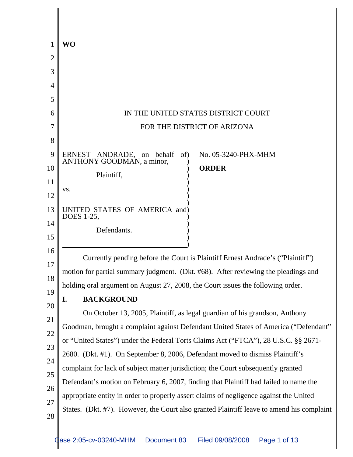| 1        | <b>WO</b>                                                                                 |
|----------|-------------------------------------------------------------------------------------------|
| 2        |                                                                                           |
| 3        |                                                                                           |
| 4        |                                                                                           |
| 5        |                                                                                           |
| 6        | IN THE UNITED STATES DISTRICT COURT                                                       |
| 7        | FOR THE DISTRICT OF ARIZONA                                                               |
| 8        |                                                                                           |
| 9        | ERNEST ANDRADE, on behalf<br>No. 05-3240-PHX-MHM<br>of)<br>ANTHONY GOODMAN, a minor,      |
| 10       | <b>ORDER</b><br>Plaintiff,                                                                |
| 11       | VS.                                                                                       |
| 12       |                                                                                           |
| 13       | UNITED STATES OF AMERICA and)<br>DOES 1-25,                                               |
| 14       | Defendants.                                                                               |
| 15       |                                                                                           |
| 16       | Currently pending before the Court is Plaintiff Ernest Andrade's ("Plaintiff")            |
| 17       | motion for partial summary judgment. (Dkt. #68). After reviewing the pleadings and        |
| 18       | holding oral argument on August 27, 2008, the Court issues the following order.           |
| 19       | <b>BACKGROUND</b><br>I.                                                                   |
| 20       | On October 13, 2005, Plaintiff, as legal guardian of his grandson, Anthony                |
| 21       | Goodman, brought a complaint against Defendant United States of America ("Defendant"      |
| 22       | or "United States") under the Federal Torts Claims Act ("FTCA"), 28 U.S.C. §§ 2671-       |
| 23<br>24 | 2680. (Dkt. #1). On September 8, 2006, Defendant moved to dismiss Plaintiff's             |
| 25       | complaint for lack of subject matter jurisdiction; the Court subsequently granted         |
| 26       | Defendant's motion on February 6, 2007, finding that Plaintiff had failed to name the     |
| 27       | appropriate entity in order to properly assert claims of negligence against the United    |
| 28       | States. (Dkt. #7). However, the Court also granted Plaintiff leave to amend his complaint |
|          |                                                                                           |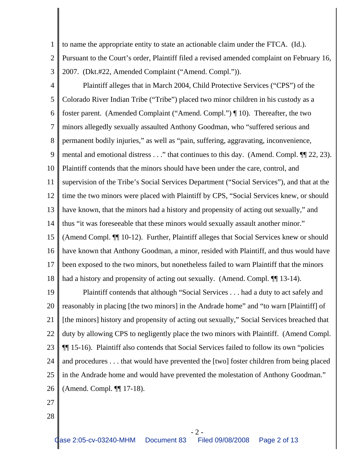- 1 2 3 to name the appropriate entity to state an actionable claim under the FTCA. (Id.). Pursuant to the Court's order, Plaintiff filed a revised amended complaint on February 16, 2007. (Dkt.#22, Amended Complaint ("Amend. Compl.")).
- 

4 5 6 7 8 9 10 11 12 13 14 15 16 17 18 Plaintiff alleges that in March 2004, Child Protective Services ("CPS") of the Colorado River Indian Tribe ("Tribe") placed two minor children in his custody as a foster parent. (Amended Complaint ("Amend. Compl.") ¶ 10). Thereafter, the two minors allegedly sexually assaulted Anthony Goodman, who "suffered serious and permanent bodily injuries," as well as "pain, suffering, aggravating, inconvenience, mental and emotional distress . . ." that continues to this day. (Amend. Compl.  $\P$  22, 23). Plaintiff contends that the minors should have been under the care, control, and supervision of the Tribe's Social Services Department ("Social Services"), and that at the time the two minors were placed with Plaintiff by CPS, "Social Services knew, or should have known, that the minors had a history and propensity of acting out sexually," and thus "it was foreseeable that these minors would sexually assault another minor." (Amend Compl. ¶¶ 10-12). Further, Plaintiff alleges that Social Services knew or should have known that Anthony Goodman, a minor, resided with Plaintiff, and thus would have been exposed to the two minors, but nonetheless failed to warn Plaintiff that the minors had a history and propensity of acting out sexually. (Amend. Compl.  $\P$  13-14).

19 20 21 22 23 24 25 26 Plaintiff contends that although "Social Services . . . had a duty to act safely and reasonably in placing [the two minors] in the Andrade home" and "to warn [Plaintiff] of [the minors] history and propensity of acting out sexually," Social Services breached that duty by allowing CPS to negligently place the two minors with Plaintiff. (Amend Compl. ¶¶ 15-16). Plaintiff also contends that Social Services failed to follow its own "policies and procedures . . . that would have prevented the [two] foster children from being placed in the Andrade home and would have prevented the molestation of Anthony Goodman." (Amend. Compl. ¶¶ 17-18).

- 27
- 28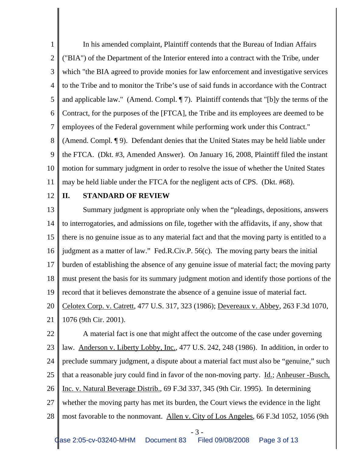1 2 3 4 5 6 7 8 9 10 11 In his amended complaint, Plaintiff contends that the Bureau of Indian Affairs ("BIA") of the Department of the Interior entered into a contract with the Tribe, under which "the BIA agreed to provide monies for law enforcement and investigative services to the Tribe and to monitor the Tribe's use of said funds in accordance with the Contract and applicable law." (Amend. Compl. ¶ 7). Plaintiff contends that "[b]y the terms of the Contract, for the purposes of the [FTCA], the Tribe and its employees are deemed to be employees of the Federal government while performing work under this Contract." (Amend. Compl. ¶ 9). Defendant denies that the United States may be held liable under the FTCA. (Dkt. #3, Amended Answer). On January 16, 2008, Plaintiff filed the instant motion for summary judgment in order to resolve the issue of whether the United States may be held liable under the FTCA for the negligent acts of CPS. (Dkt. #68).

12

## **II. STANDARD OF REVIEW**

13 14 15 16 17 18 19 20 21 Summary judgment is appropriate only when the "pleadings, depositions, answers to interrogatories, and admissions on file, together with the affidavits, if any, show that there is no genuine issue as to any material fact and that the moving party is entitled to a judgment as a matter of law." Fed.R.Civ.P. 56(c). The moving party bears the initial burden of establishing the absence of any genuine issue of material fact; the moving party must present the basis for its summary judgment motion and identify those portions of the record that it believes demonstrate the absence of a genuine issue of material fact. Celotex Corp. v. Catrett, 477 U.S. 317, 323 (1986); Devereaux v. Abbey, 263 F.3d 1070, 1076 (9th Cir. 2001).

22 23 24 25 26 27 28 A material fact is one that might affect the outcome of the case under governing law. Anderson v. Liberty Lobby, Inc., 477 U.S. 242, 248 (1986). In addition, in order to preclude summary judgment, a dispute about a material fact must also be "genuine," such that a reasonable jury could find in favor of the non-moving party. Id.; Anheuser -Busch, Inc. v. Natural Beverage Distrib., 69 F.3d 337, 345 (9th Cir. 1995). In determining whether the moving party has met its burden, the Court views the evidence in the light most favorable to the nonmovant. Allen v. City of Los Angeles, 66 F.3d 1052, 1056 (9th

- 3 -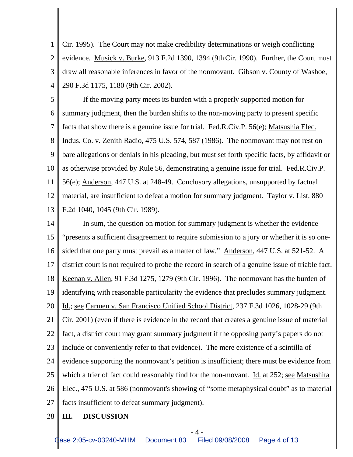1 2 3 4 Cir. 1995). The Court may not make credibility determinations or weigh conflicting evidence. Musick v. Burke, 913 F.2d 1390, 1394 (9th Cir. 1990). Further, the Court must draw all reasonable inferences in favor of the nonmovant. Gibson v. County of Washoe, 290 F.3d 1175, 1180 (9th Cir. 2002).

5 6 7 8 9 10 11 12 13 If the moving party meets its burden with a properly supported motion for summary judgment, then the burden shifts to the non-moving party to present specific facts that show there is a genuine issue for trial. Fed.R.Civ.P. 56(e); Matsushia Elec. Indus. Co. v. Zenith Radio, 475 U.S. 574, 587 (1986). The nonmovant may not rest on bare allegations or denials in his pleading, but must set forth specific facts, by affidavit or as otherwise provided by Rule 56, demonstrating a genuine issue for trial. Fed.R.Civ.P. 56(e); Anderson, 447 U.S. at 248-49. Conclusory allegations, unsupported by factual material, are insufficient to defeat a motion for summary judgment. Taylor v. List, 880 F.2d 1040, 1045 (9th Cir. 1989).

14 15 16 17 18 19 20 21 22 23 24 25 26 27 In sum, the question on motion for summary judgment is whether the evidence "presents a sufficient disagreement to require submission to a jury or whether it is so onesided that one party must prevail as a matter of law." Anderson, 447 U.S. at 521-52. A district court is not required to probe the record in search of a genuine issue of triable fact. Keenan v. Allen, 91 F.3d 1275, 1279 (9th Cir. 1996). The nonmovant has the burden of identifying with reasonable particularity the evidence that precludes summary judgment. Id.; see Carmen v. San Francisco Unified School District, 237 F.3d 1026, 1028-29 (9th Cir. 2001) (even if there is evidence in the record that creates a genuine issue of material fact, a district court may grant summary judgment if the opposing party's papers do not include or conveniently refer to that evidence). The mere existence of a scintilla of evidence supporting the nonmovant's petition is insufficient; there must be evidence from which a trier of fact could reasonably find for the non-movant. Id. at 252; see Matsushita Elec., 475 U.S. at 586 (nonmovant's showing of "some metaphysical doubt" as to material facts insufficient to defeat summary judgment).

28 **III. DISCUSSION**

- 4 -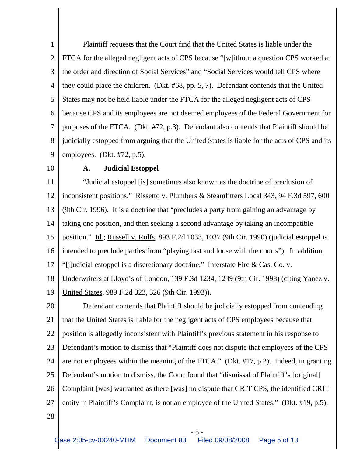1 2 3 4 5 6 7 8 9 Plaintiff requests that the Court find that the United States is liable under the FTCA for the alleged negligent acts of CPS because "[w]ithout a question CPS worked at the order and direction of Social Services" and "Social Services would tell CPS where they could place the children. (Dkt. #68, pp. 5, 7). Defendant contends that the United States may not be held liable under the FTCA for the alleged negligent acts of CPS because CPS and its employees are not deemed employees of the Federal Government for purposes of the FTCA. (Dkt. #72, p.3). Defendant also contends that Plaintiff should be judicially estopped from arguing that the United States is liable for the acts of CPS and its employees. (Dkt. #72, p.5).

10

## **A. Judicial Estoppel**

11 12 13 14 15 16 17 18 19 20 "Judicial estoppel [is] sometimes also known as the doctrine of preclusion of inconsistent positions." Rissetto v. Plumbers & Steamfitters Local 343, 94 F.3d 597, 600 (9th Cir. 1996). It is a doctrine that "precludes a party from gaining an advantage by taking one position, and then seeking a second advantage by taking an incompatible position." Id.; Russell v. Rolfs, 893 F.2d 1033, 1037 (9th Cir. 1990) (judicial estoppel is intended to preclude parties from "playing fast and loose with the courts"). In addition, "[j]udicial estoppel is a discretionary doctrine." Interstate Fire & Cas. Co. v. Underwriters at Lloyd's of London, 139 F.3d 1234, 1239 (9th Cir. 1998) (citing Yanez v. United States, 989 F.2d 323, 326 (9th Cir. 1993)).

21 22 23 24 25 26 27 Defendant contends that Plaintiff should be judicially estopped from contending that the United States is liable for the negligent acts of CPS employees because that position is allegedly inconsistent with Plaintiff's previous statement in his response to Defendant's motion to dismiss that "Plaintiff does not dispute that employees of the CPS are not employees within the meaning of the FTCA." (Dkt. #17, p.2). Indeed, in granting Defendant's motion to dismiss, the Court found that "dismissal of Plaintiff's [original] Complaint [was] warranted as there [was] no dispute that CRIT CPS, the identified CRIT entity in Plaintiff's Complaint, is not an employee of the United States." (Dkt. #19, p.5).

- 5 -

28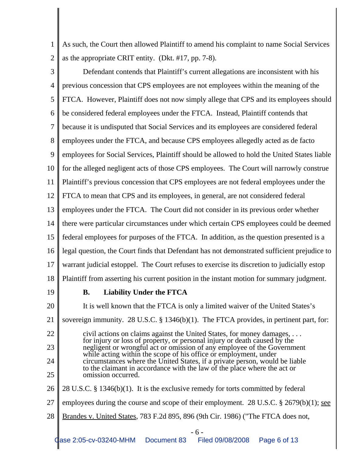1 2 As such, the Court then allowed Plaintiff to amend his complaint to name Social Services as the appropriate CRIT entity. (Dkt. #17, pp. 7-8).

- 3 4 5 6 7 8 9 10 11 12 13 14 15 16 17 18 19 20 21 22 23 24 25 26 Defendant contends that Plaintiff's current allegations are inconsistent with his previous concession that CPS employees are not employees within the meaning of the FTCA. However, Plaintiff does not now simply allege that CPS and its employees should be considered federal employees under the FTCA. Instead, Plaintiff contends that because it is undisputed that Social Services and its employees are considered federal employees under the FTCA, and because CPS employees allegedly acted as de facto employees for Social Services, Plaintiff should be allowed to hold the United States liable for the alleged negligent acts of those CPS employees. The Court will narrowly construe Plaintiff's previous concession that CPS employees are not federal employees under the FTCA to mean that CPS and its employees, in general, are not considered federal employees under the FTCA. The Court did not consider in its previous order whether there were particular circumstances under which certain CPS employees could be deemed federal employees for purposes of the FTCA. In addition, as the question presented is a legal question, the Court finds that Defendant has not demonstrated sufficient prejudice to warrant judicial estoppel. The Court refuses to exercise its discretion to judicially estop Plaintiff from asserting his current position in the instant motion for summary judgment. **B. Liability Under the FTCA** It is well known that the FTCA is only a limited waiver of the United States's sovereign immunity. 28 U.S.C. § 1346(b)(1). The FTCA provides, in pertinent part, for: civil actions on claims against the United States, for money damages, . . . for injury or loss of property, or personal injury or death caused by the negligent or wrongful act or omission of any employee of the Government while acting within the scope of his office or employment, under circumstances where the United States, if a private person, would be liable to the claimant in accordance with the law of the place where the act or omission occurred. 28 U.S.C. § 1346(b)(1). It is the exclusive remedy for torts committed by federal
- 27 employees during the course and scope of their employment. 28 U.S.C.  $\S 2679(b)(1)$ ; see
- 28 Brandes v. United States, 783 F.2d 895, 896 (9th Cir. 1986) ("The FTCA does not,

- 6 -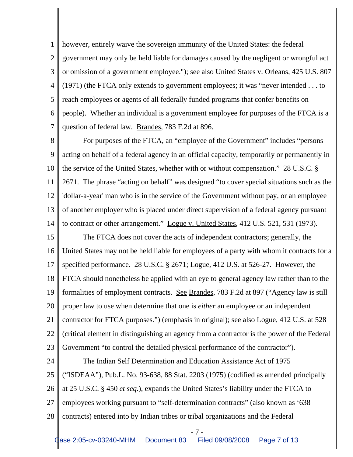1 2 3 4 5 6 7 however, entirely waive the sovereign immunity of the United States: the federal government may only be held liable for damages caused by the negligent or wrongful act or omission of a government employee."); see also United States v. Orleans, 425 U.S. 807 (1971) (the FTCA only extends to government employees; it was "never intended . . . to reach employees or agents of all federally funded programs that confer benefits on people). Whether an individual is a government employee for purposes of the FTCA is a question of federal law. Brandes, 783 F.2d at 896.

8 9 10 11 12 13 14 For purposes of the FTCA, an "employee of the Government" includes "persons acting on behalf of a federal agency in an official capacity, temporarily or permanently in the service of the United States, whether with or without compensation." 28 U.S.C. § 2671. The phrase "acting on behalf" was designed "to cover special situations such as the 'dollar-a-year' man who is in the service of the Government without pay, or an employee of another employer who is placed under direct supervision of a federal agency pursuant to contract or other arrangement." Logue v. United States, 412 U.S. 521, 531 (1973).

15 16 17 18 19 20 21 22 23 The FTCA does not cover the acts of independent contractors; generally, the United States may not be held liable for employees of a party with whom it contracts for a specified performance. 28 U.S.C. § 2671; Logue, 412 U.S. at 526-27. However, the FTCA should nonetheless be applied with an eye to general agency law rather than to the formalities of employment contracts. See Brandes, 783 F.2d at 897 ("Agency law is still proper law to use when determine that one is *either* an employee or an independent contractor for FTCA purposes.") (emphasis in original); see also Logue, 412 U.S. at 528 (critical element in distinguishing an agency from a contractor is the power of the Federal Government "to control the detailed physical performance of the contractor").

24 25 26 27 28 The Indian Self Determination and Education Assistance Act of 1975 ("ISDEAA"), Pub.L. No. 93-638, 88 Stat. 2203 (1975) (codified as amended principally at 25 U.S.C. § 450 *et seq.*), expands the United States's liability under the FTCA to employees working pursuant to "self-determination contracts" (also known as '638 contracts) entered into by Indian tribes or tribal organizations and the Federal

- 7 -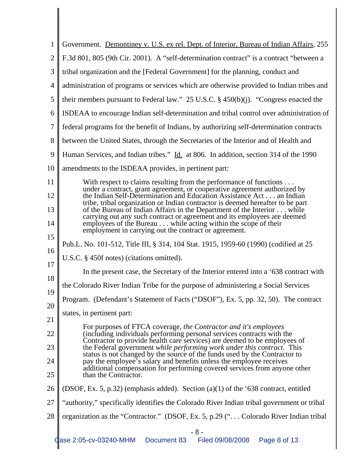| 1              | Government. Demontiney v. U.S. ex rel. Dept. of Interior, Bureau of Indian Affairs, 255                                                                                                                                             |
|----------------|-------------------------------------------------------------------------------------------------------------------------------------------------------------------------------------------------------------------------------------|
| $\overline{2}$ | F.3d 801, 805 (9th Cir. 2001). A "self-determination contract" is a contract "between a                                                                                                                                             |
| 3              | tribal organization and the [Federal Government] for the planning, conduct and                                                                                                                                                      |
| $\overline{4}$ | administration of programs or services which are otherwise provided to Indian tribes and                                                                                                                                            |
| 5              | their members pursuant to Federal law." 25 U.S.C. $\S$ 450(b)(j). "Congress enacted the                                                                                                                                             |
| 6              | ISDEAA to encourage Indian self-determination and tribal control over administration of                                                                                                                                             |
| $\overline{7}$ | federal programs for the benefit of Indians, by authorizing self-determination contracts                                                                                                                                            |
| 8              | between the United States, through the Secretaries of the Interior and of Health and                                                                                                                                                |
| 9              | Human Services, and Indian tribes." Id. at 806. In addition, section 314 of the 1990                                                                                                                                                |
| 10             | amendments to the ISDEAA provides, in pertinent part:                                                                                                                                                                               |
| 11             | With respect to claims resulting from the performance of functions                                                                                                                                                                  |
| 12             | under a contract, grant agreement, or cooperative agreement authorized by<br>the Indian Self-Determination and Education Assistance Act an Indian<br>tribe, tribal organization or Indian contractor is deemed hereafter to be part |
| 13             | of the Bureau of Indian Affairs in the Department of the Interior while<br>carrying out any such contract or agreement and its employees are deemed                                                                                 |
| 14             | employees of the Bureau while acting within the scope of their<br>employment in carrying out the contract or agreement.                                                                                                             |
| 15             | Pub.L. No. 101-512, Title III, § 314, 104 Stat. 1915, 1959-60 (1990) (codified at 25                                                                                                                                                |
| 16             | U.S.C. § 450f notes) (citations omitted).                                                                                                                                                                                           |
| 17             | In the present case, the Secretary of the Interior entered into a '638 contract with                                                                                                                                                |
| 18             | the Colorado River Indian Tribe for the purpose of administering a Social Services                                                                                                                                                  |
| 19             | Program. (Defendant's Statement of Facts ("DSOF"), Ex. 5, pp. 32, 50). The contract                                                                                                                                                 |
| 20<br>21       | states, in pertinent part:                                                                                                                                                                                                          |
| 22             | For purposes of FTCA coverage, the Contractor and it's employees<br>(including individuals performing personal services contracts with the                                                                                          |
| 23             | Contractor to provide health care services) are deemed to be employees of<br>the Federal government while performing work under this contract. This                                                                                 |
| 24             | status is not changed by the source of the funds used by the Contractor to<br>pay the employee's salary and benefits unless the employee receives                                                                                   |
| 25             | additional compensation for performing covered services from anyone other<br>than the Contractor.                                                                                                                                   |
| 26             | (DSOF, Ex. 5, p.32) (emphasis added). Section (a)(1) of the '638 contract, entitled                                                                                                                                                 |
| 27             | "authority," specifically identifies the Colorado River Indian tribal government or tribal                                                                                                                                          |
| 28             | organization as the "Contractor." (DSOF, Ex. 5, p.29 (" Colorado River Indian tribal                                                                                                                                                |
|                | $-8-$                                                                                                                                                                                                                               |
|                | Case 2:05-cv-03240-MHM<br>Document 83<br>Filed 09/08/2008<br>Page 8 of 13                                                                                                                                                           |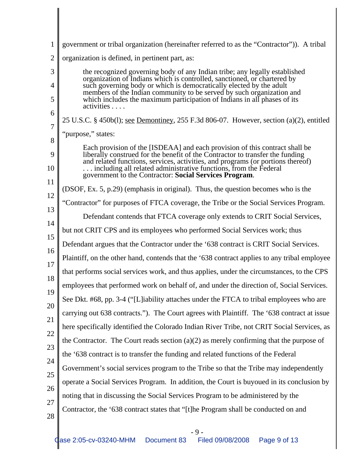| $\mathbf{1}$   | government or tribal organization (hereinafter referred to as the "Contractor")). A tribal                                                                                                                    |
|----------------|---------------------------------------------------------------------------------------------------------------------------------------------------------------------------------------------------------------|
| $\overline{2}$ | organization is defined, in pertinent part, as:                                                                                                                                                               |
| 3              | the recognized governing body of any Indian tribe; any legally established<br>organization of Indians which is controlled, sanctioned, or chartered by                                                        |
| 4              | such governing body or which is democratically elected by the adult<br>members of the Indian community to be served by such organization and                                                                  |
| 5              | which includes the maximum participation of Indians in all phases of its<br>activities                                                                                                                        |
| 6              | 25 U.S.C. § 450b(l); <u>see Demontiney</u> , 255 F.3d 806-07. However, section (a)(2), entitled                                                                                                               |
| 7<br>8         | "purpose," states:                                                                                                                                                                                            |
| 9              | Each provision of the [ISDEAA] and each provision of this contract shall be<br>liberally construed for the benefit of the Contractor to transfer the funding                                                  |
| 10             | and related functions, services, activities, and programs (or portions thereof)<br>including all related administrative functions, from the Federal<br>government to the Contractor: Social Services Program. |
| 11             | (DSOF, Ex. 5, p.29) (emphasis in original). Thus, the question becomes who is the                                                                                                                             |
| 12             |                                                                                                                                                                                                               |
| 13             | "Contractor" for purposes of FTCA coverage, the Tribe or the Social Services Program.                                                                                                                         |
| 14             | Defendant contends that FTCA coverage only extends to CRIT Social Services,                                                                                                                                   |
| 15             | but not CRIT CPS and its employees who performed Social Services work; thus                                                                                                                                   |
| 16             | Defendant argues that the Contractor under the '638 contract is CRIT Social Services.                                                                                                                         |
| 17             | Plaintiff, on the other hand, contends that the '638 contract applies to any tribal employee                                                                                                                  |
| 18             | that performs social services work, and thus applies, under the circumstances, to the CPS                                                                                                                     |
| 19             | employees that performed work on behalf of, and under the direction of, Social Services.                                                                                                                      |
| 20             | See Dkt. #68, pp. 3-4 ("[L]iability attaches under the FTCA to tribal employees who are                                                                                                                       |
| 21             | carrying out 638 contracts."). The Court agrees with Plaintiff. The '638 contract at issue                                                                                                                    |
| 22             | here specifically identified the Colorado Indian River Tribe, not CRIT Social Services, as                                                                                                                    |
| 23             | the Contractor. The Court reads section $(a)(2)$ as merely confirming that the purpose of                                                                                                                     |
|                | the '638 contract is to transfer the funding and related functions of the Federal                                                                                                                             |
| 24             | Government's social services program to the Tribe so that the Tribe may independently                                                                                                                         |
| 25             | operate a Social Services Program. In addition, the Court is buyoued in its conclusion by                                                                                                                     |
| 26             | noting that in discussing the Social Services Program to be administered by the                                                                                                                               |
| 27<br>28       | Contractor, the '638 contract states that "[t]he Program shall be conducted on and                                                                                                                            |
|                |                                                                                                                                                                                                               |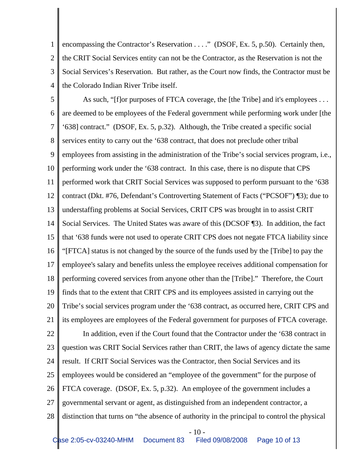1 2 3 4 encompassing the Contractor's Reservation . . . ." (DSOF, Ex. 5, p.50). Certainly then, the CRIT Social Services entity can not be the Contractor, as the Reservation is not the Social Services's Reservation. But rather, as the Court now finds, the Contractor must be the Colorado Indian River Tribe itself.

5 6 7 8 9 10 11 12 13 14 15 16 17 18 19 20 21 22 23 24 25 26 27 28 As such, "[f]or purposes of FTCA coverage, the [the Tribe] and it's employees ... are deemed to be employees of the Federal government while performing work under [the '638] contract." (DSOF, Ex. 5, p.32). Although, the Tribe created a specific social services entity to carry out the '638 contract, that does not preclude other tribal employees from assisting in the administration of the Tribe's social services program, i.e., performing work under the '638 contract. In this case, there is no dispute that CPS performed work that CRIT Social Services was supposed to perform pursuant to the '638 contract (Dkt. #76, Defendant's Controverting Statement of Facts ("PCSOF") ¶3); due to understaffing problems at Social Services, CRIT CPS was brought in to assist CRIT Social Services. The United States was aware of this (DCSOF ¶3). In addition, the fact that '638 funds were not used to operate CRIT CPS does not negate FTCA liability since "[FTCA] status is not changed by the source of the funds used by the [Tribe] to pay the employee's salary and benefits unless the employee receives additional compensation for performing covered services from anyone other than the [Tribe]." Therefore, the Court finds that to the extent that CRIT CPS and its employees assisted in carrying out the Tribe's social services program under the '638 contract, as occurred here, CRIT CPS and its employees are employees of the Federal government for purposes of FTCA coverage. In addition, even if the Court found that the Contractor under the '638 contract in question was CRIT Social Services rather than CRIT, the laws of agency dictate the same result. If CRIT Social Services was the Contractor, then Social Services and its employees would be considered an "employee of the government" for the purpose of FTCA coverage. (DSOF, Ex. 5, p.32). An employee of the government includes a governmental servant or agent, as distinguished from an independent contractor, a distinction that turns on "the absence of authority in the principal to control the physical

 $-10-$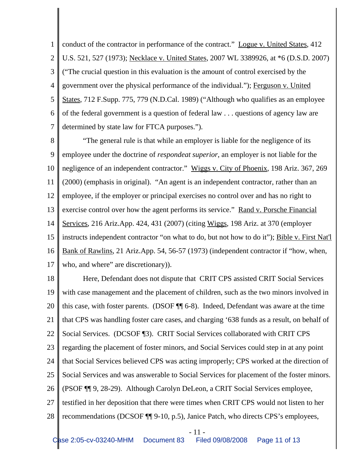1 2 3 4 5 6 7 conduct of the contractor in performance of the contract." Logue v. United States, 412 U.S. 521, 527 (1973); Necklace v. United States, 2007 WL 3389926, at \*6 (D.S.D. 2007) ("The crucial question in this evaluation is the amount of control exercised by the government over the physical performance of the individual."); Ferguson v. United States, 712 F.Supp. 775, 779 (N.D.Cal. 1989) ("Although who qualifies as an employee of the federal government is a question of federal law . . . questions of agency law are determined by state law for FTCA purposes.").

8 9 10 11 12 13 14 15 16 17 "The general rule is that while an employer is liable for the negligence of its employee under the doctrine of *respondeat superior*, an employer is not liable for the negligence of an independent contractor." Wiggs v. City of Phoenix, 198 Ariz. 367, 269 (2000) (emphasis in original). "An agent is an independent contractor, rather than an employee, if the employer or principal exercises no control over and has no right to exercise control over how the agent performs its service." Rand v. Porsche Financial Services, 216 Ariz.App. 424, 431 (2007) (citing Wiggs, 198 Ariz. at 370 (employer instructs independent contractor "on what to do, but not how to do it"); Bible v. First Nat'l Bank of Rawlins, 21 Ariz.App. 54, 56-57 (1973) (independent contractor if "how, when, who, and where" are discretionary).

18 19 20 21 22 23 24 25 26 27 28 Here, Defendant does not dispute that CRIT CPS assisted CRIT Social Services with case management and the placement of children, such as the two minors involved in this case, with foster parents. (DSOF ¶¶ 6-8). Indeed, Defendant was aware at the time that CPS was handling foster care cases, and charging '638 funds as a result, on behalf of Social Services. (DCSOF ¶3). CRIT Social Services collaborated with CRIT CPS regarding the placement of foster minors, and Social Services could step in at any point that Social Services believed CPS was acting improperly; CPS worked at the direction of Social Services and was answerable to Social Services for placement of the foster minors. (PSOF ¶¶ 9, 28-29). Although Carolyn DeLeon, a CRIT Social Services employee, testified in her deposition that there were times when CRIT CPS would not listen to her recommendations (DCSOF ¶¶ 9-10, p.5), Janice Patch, who directs CPS's employees,

- 11 -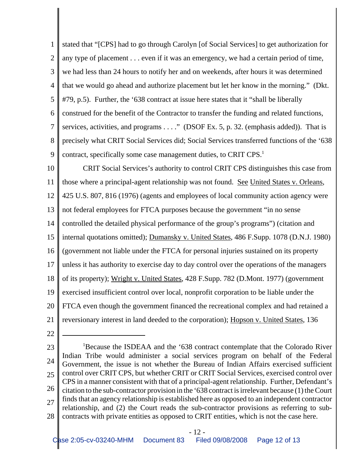1 2 3 4 5 6 7 8 9 stated that "[CPS] had to go through Carolyn [of Social Services] to get authorization for any type of placement . . . even if it was an emergency, we had a certain period of time, we had less than 24 hours to notify her and on weekends, after hours it was determined that we would go ahead and authorize placement but let her know in the morning." (Dkt. #79, p.5). Further, the '638 contract at issue here states that it "shall be liberally construed for the benefit of the Contractor to transfer the funding and related functions, services, activities, and programs . . . ." (DSOF Ex. 5, p. 32. (emphasis added)). That is precisely what CRIT Social Services did; Social Services transferred functions of the '638 contract, specifically some case management duties, to CRIT CPS.<sup>1</sup>

10 11 12 13 14 15 16 17 18 19 20 21 CRIT Social Services's authority to control CRIT CPS distinguishes this case from those where a principal-agent relationship was not found. See United States v. Orleans, 425 U.S. 807, 816 (1976) (agents and employees of local community action agency were not federal employees for FTCA purposes because the government "in no sense controlled the detailed physical performance of the group's programs") (citation and internal quotations omitted); Dumansky v. United States, 486 F.Supp. 1078 (D.N.J. 1980) (government not liable under the FTCA for personal injuries sustained on its property unless it has authority to exercise day to day control over the operations of the managers of its property); Wright v. United States, 428 F.Supp. 782 (D.Mont. 1977) (government exercised insufficient control over local, nonprofit corporation to be liable under the FTCA even though the government financed the recreational complex and had retained a reversionary interest in land deeded to the corporation); Hopson v. United States, 136

22

23 24 25 26 27 28 <sup>1</sup>Because the ISDEAA and the '638 contract contemplate that the Colorado River Indian Tribe would administer a social services program on behalf of the Federal Government, the issue is not whether the Bureau of Indian Affairs exercised sufficient control over CRIT CPS, but whether CRIT or CRIT Social Services, exercised control over CPS in a manner consistent with that of a principal-agent relationship. Further, Defendant's citation to the sub-contractor provision in the '638 contract is irrelevant because (1) the Court finds that an agency relationship is established here as opposed to an independent contractor relationship, and (2) the Court reads the sub-contractor provisions as referring to subcontracts with private entities as opposed to CRIT entities, which is not the case here.